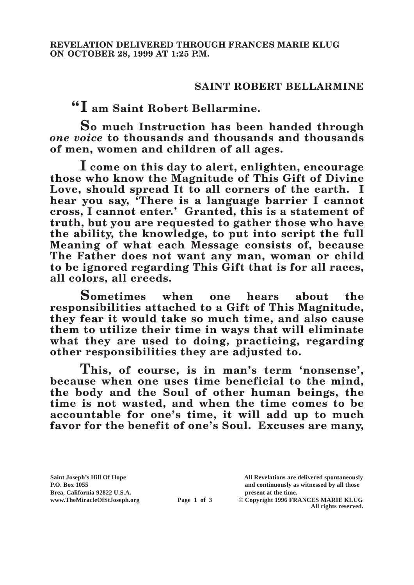## **SAINT ROBERT BELLARMINE**

**"I am Saint Robert Bellarmine.**

**So much Instruction has been handed through**  *one voice* **to thousands and thousands and thousands of men, women and children of all ages.**

**I come on this day to alert, enlighten, encourage those who know the Magnitude of This Gift of Divine Love, should spread It to all corners of the earth. I hear you say, 'There is a language barrier I cannot cross, I cannot enter.' Granted, this is a statement of truth, but you are requested to gather those who have the ability, the knowledge, to put into script the full Meaning of what each Message consists of, because The Father does not want any man, woman or child to be ignored regarding This Gift that is for all races, all colors, all creeds.**

**Sometimes when one hears about the responsibilities attached to a Gift of This Magnitude, they fear it would take so much time, and also cause them to utilize their time in ways that will eliminate what they are used to doing, practicing, regarding other responsibilities they are adjusted to.**

**This, of course, is in man's term 'nonsense', because when one uses time beneficial to the mind, the body and the Soul of other human beings, the time is not wasted, and when the time comes to be accountable for one's time, it will add up to much favor for the benefit of one's Soul. Excuses are many,** 

**Saint Joseph's Hill Of Hope All Revelations are delivered spontaneously Brea, California 92822 U.S.A. present at the time.**<br> **Page 1 of 3** © Copyright 1996 FR.

**P.O. Box 1055 and continuously as witnessed by all those** 

**Page 1 of 3** © Copyright 1996 FRANCES MARIE KLUG **All rights reserved.**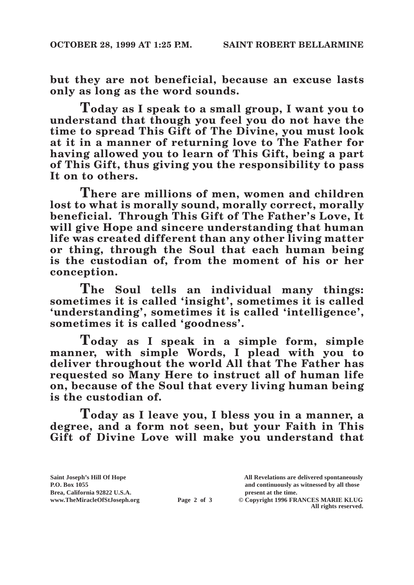**but they are not beneficial, because an excuse lasts only as long as the word sounds.**

**Today as I speak to a small group, I want you to understand that though you feel you do not have the time to spread This Gift of The Divine, you must look at it in a manner of returning love to The Father for having allowed you to learn of This Gift, being a part of This Gift, thus giving you the responsibility to pass It on to others.**

**There are millions of men, women and children lost to what is morally sound, morally correct, morally beneficial. Through This Gift of The Father's Love, It will give Hope and sincere understanding that human life was created different than any other living matter or thing, through the Soul that each human being is the custodian of, from the moment of his or her conception.**

**The Soul tells an individual many things: sometimes it is called 'insight', sometimes it is called 'understanding', sometimes it is called 'intelligence', sometimes it is called 'goodness'.**

**Today as I speak in a simple form, simple manner, with simple Words, I plead with you to deliver throughout the world All that The Father has requested so Many Here to instruct all of human life on, because of the Soul that every living human being is the custodian of.**

**Today as I leave you, I bless you in a manner, a degree, and a form not seen, but your Faith in This Gift of Divine Love will make you understand that** 

**Saint Joseph's Hill Of Hope All Revelations are delivered spontaneously P.O. Box 1055 and continuously as witnessed by all those Page 2 of 3** © Copyright 1996 FRANCES MARIE KLUG

**All rights reserved.**